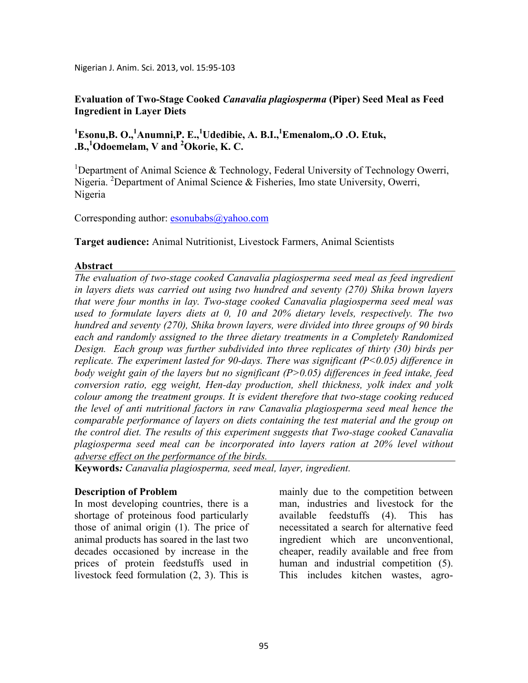Nigerian J. Anim. Sci. 2013, vol. 15:95-103

**Evaluation of Two-Stage Cooked** *Canavalia plagiosperma* **(Piper) Seed Meal as Feed Ingredient in Layer Diets** 

# **<sup>1</sup>Esonu,B. O.,<sup>1</sup>Anumni,P. E.,<sup>1</sup>Udedibie, A. B.I.,<sup>1</sup>Emenalom,.O .O. Etuk, .B.,<sup>1</sup>Odoemelam, V and <sup>2</sup>Okorie, K. C.**

<sup>1</sup>Department of Animal Science & Technology, Federal University of Technology Owerri, Nigeria. <sup>2</sup>Department of Animal Science & Fisheries, Imo state University, Owerri, Nigeria

Corresponding author: esonubabs@yahoo.com

**Target audience:** Animal Nutritionist, Livestock Farmers, Animal Scientists

#### **Abstract**

*The evaluation of two-stage cooked Canavalia plagiosperma seed meal as feed ingredient in layers diets was carried out using two hundred and seventy (270) Shika brown layers that were four months in lay. Two-stage cooked Canavalia plagiosperma seed meal was used to formulate layers diets at 0, 10 and 20% dietary levels, respectively. The two hundred and seventy (270), Shika brown layers, were divided into three groups of 90 birds each and randomly assigned to the three dietary treatments in a Completely Randomized Design. Each group was further subdivided into three replicates of thirty (30) birds per replicate. The experiment lasted for 90-days. There was significant (P<0.05) difference in body weight gain of the layers but no significant (P>0.05) differences in feed intake, feed conversion ratio, egg weight, Hen-day production, shell thickness, yolk index and yolk colour among the treatment groups. It is evident therefore that two-stage cooking reduced the level of anti nutritional factors in raw Canavalia plagiosperma seed meal hence the comparable performance of layers on diets containing the test material and the group on the control diet. The results of this experiment suggests that Two-stage cooked Canavalia plagiosperma seed meal can be incorporated into layers ration at 20% level without adverse effect on the performance of the birds.* 

**Keywords***: Canavalia plagiosperma, seed meal, layer, ingredient.*

## **Description of Problem**

In most developing countries, there is a shortage of proteinous food particularly those of animal origin (1). The price of animal products has soared in the last two decades occasioned by increase in the prices of protein feedstuffs used in livestock feed formulation (2, 3). This is

mainly due to the competition between man, industries and livestock for the available feedstuffs (4). This has necessitated a search for alternative feed ingredient which are unconventional, cheaper, readily available and free from human and industrial competition (5). This includes kitchen wastes, agro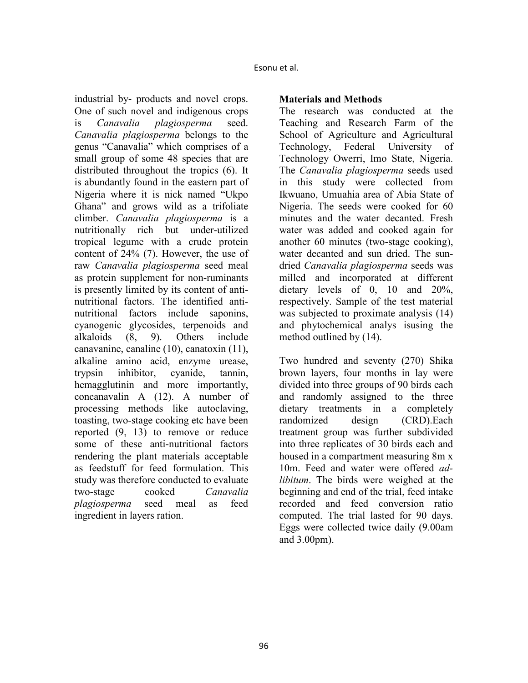industrial by- products and novel crops. One of such novel and indigenous crops is *Canavalia plagiosperma* seed. *Canavalia plagiosperma* belongs to the genus "Canavalia" which comprises of a small group of some 48 species that are distributed throughout the tropics (6). It is abundantly found in the eastern part of Nigeria where it is nick named "Ukpo Ghana" and grows wild as a trifoliate climber. *Canavalia plagiosperma* is a nutritionally rich but under-utilized tropical legume with a crude protein content of 24% (7). However, the use of raw *Canavalia plagiosperma* seed meal as protein supplement for non-ruminants is presently limited by its content of antinutritional factors. The identified antinutritional factors include saponins, cyanogenic glycosides, terpenoids and alkaloids (8, 9). Others include canavanine, canaline (10), canatoxin (11), alkaline amino acid, enzyme urease, trypsin inhibitor, cyanide, tannin, hemagglutinin and more importantly, concanavalin A (12). A number of processing methods like autoclaving, toasting, two-stage cooking etc have been reported (9, 13) to remove or reduce some of these anti-nutritional factors rendering the plant materials acceptable as feedstuff for feed formulation. This study was therefore conducted to evaluate two-stage cooked *Canavalia plagiosperma* seed meal as feed ingredient in layers ration.

## **Materials and Methods**

The research was conducted at the Teaching and Research Farm of the School of Agriculture and Agricultural Technology, Federal University of Technology Owerri, Imo State, Nigeria. The *Canavalia plagiosperma* seeds used in this study were collected from Ikwuano, Umuahia area of Abia State of Nigeria. The seeds were cooked for 60 minutes and the water decanted. Fresh water was added and cooked again for another 60 minutes (two-stage cooking), water decanted and sun dried. The sundried *Canavalia plagiosperma* seeds was milled and incorporated at different dietary levels of 0, 10 and 20%, respectively. Sample of the test material was subjected to proximate analysis (14) and phytochemical analys isusing the method outlined by (14).

Two hundred and seventy (270) Shika brown layers, four months in lay were divided into three groups of 90 birds each and randomly assigned to the three dietary treatments in a completely randomized design (CRD).Each treatment group was further subdivided into three replicates of 30 birds each and housed in a compartment measuring 8m x 10m. Feed and water were offered *adlibitum*. The birds were weighed at the beginning and end of the trial, feed intake recorded and feed conversion ratio computed. The trial lasted for 90 days. Eggs were collected twice daily (9.00am and 3.00pm).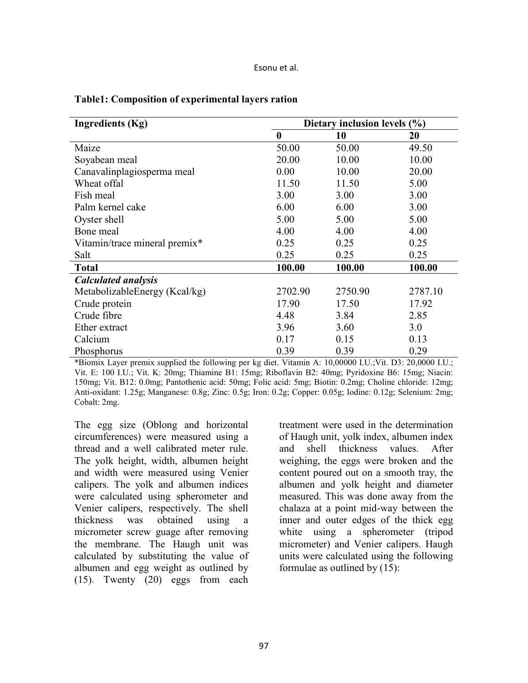Esonu et al.

| <b>Ingredients (Kg)</b>       | Dietary inclusion levels (%) |         |         |
|-------------------------------|------------------------------|---------|---------|
|                               | $\boldsymbol{0}$             | 10      | 20      |
| Maize                         | 50.00                        | 50.00   | 49.50   |
| Soyabean meal                 | 20.00                        | 10.00   | 10.00   |
| Canavalinplagiosperma meal    | 0.00                         | 10.00   | 20.00   |
| Wheat offal                   | 11.50                        | 11.50   | 5.00    |
| Fish meal                     | 3.00                         | 3.00    | 3.00    |
| Palm kernel cake              | 6.00                         | 6.00    | 3.00    |
| Oyster shell                  | 5.00                         | 5.00    | 5.00    |
| Bone meal                     | 4.00                         | 4.00    | 4.00    |
| Vitamin/trace mineral premix* | 0.25                         | 0.25    | 0.25    |
| Salt                          | 0.25                         | 0.25    | 0.25    |
| <b>Total</b>                  | 100.00                       | 100.00  | 100.00  |
| <b>Calculated analysis</b>    |                              |         |         |
| MetabolizableEnergy (Kcal/kg) | 2702.90                      | 2750.90 | 2787.10 |
| Crude protein                 | 17.90                        | 17.50   | 17.92   |
| Crude fibre                   | 4.48                         | 3.84    | 2.85    |
| Ether extract                 | 3.96                         | 3.60    | 3.0     |
| Calcium                       | 0.17                         | 0.15    | 0.13    |
| Phosphorus                    | 0.39                         | 0.39    | 0.29    |

#### **Table1: Composition of experimental layers ration**

\*Biomix Layer premix supplied the following per kg diet. Vitamin A: 10,00000 I.U.;Vit. D3: 20,0000 I.U.; Vit. E: 100 I.U.; Vit. K: 20mg; Thiamine B1: 15mg; Riboflavin B2: 40mg; Pyridoxine B6: 15mg; Niacin: 150mg; Vit. B12: 0.0mg; Pantothenic acid: 50mg; Folic acid: 5mg; Biotin: 0.2mg; Choline chloride: 12mg; Anti-oxidant: 1.25g; Manganese: 0.8g; Zinc: 0.5g; Iron: 0.2g; Copper: 0.05g; Iodine: 0.12g; Selenium: 2mg; Cobalt: 2mg.

The egg size (Oblong and horizontal circumferences) were measured using a thread and a well calibrated meter rule. The yolk height, width, albumen height and width were measured using Venier calipers. The yolk and albumen indices were calculated using spherometer and Venier calipers, respectively. The shell thickness was obtained using a micrometer screw guage after removing the membrane. The Haugh unit was calculated by substituting the value of albumen and egg weight as outlined by (15). Twenty (20) eggs from each treatment were used in the determination of Haugh unit, yolk index, albumen index and shell thickness values. After weighing, the eggs were broken and the content poured out on a smooth tray, the albumen and yolk height and diameter measured. This was done away from the chalaza at a point mid-way between the inner and outer edges of the thick egg white using a spherometer (tripod micrometer) and Venier calipers. Haugh units were calculated using the following formulae as outlined by (15):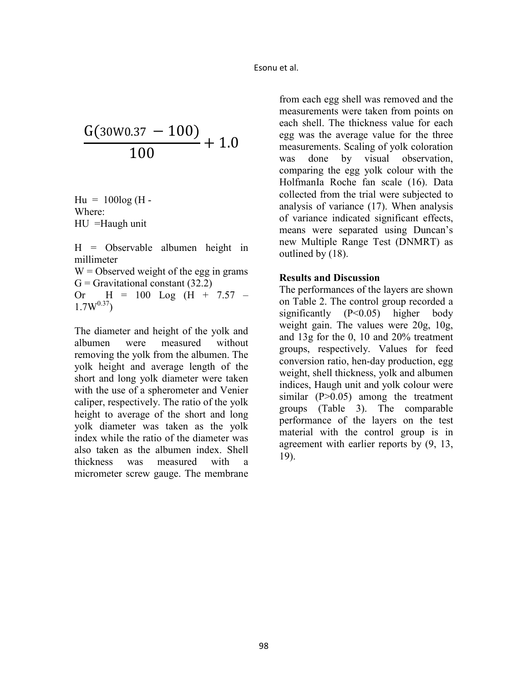$$
\frac{G(30W0.37-100)}{100}+1.0
$$

 $Hu = 100log(H -$ Where: HU =Haugh unit

H = Observable albumen height in millimeter  $W =$  Observed weight of the egg in grams  $G =$  Gravitational constant (32.2) Or  $H = 100$  Log  $(H + 7.57 -$ 

 $1.7W^{0.37}$ 

The diameter and height of the yolk and albumen were measured without removing the yolk from the albumen. The yolk height and average length of the short and long yolk diameter were taken with the use of a spherometer and Venier caliper, respectively. The ratio of the yolk height to average of the short and long yolk diameter was taken as the yolk index while the ratio of the diameter was also taken as the albumen index. Shell thickness was measured with a micrometer screw gauge. The membrane

from each egg shell was removed and the measurements were taken from points on each shell. The thickness value for each egg was the average value for the three measurements. Scaling of yolk coloration was done by visual observation, comparing the egg yolk colour with the HolfmanIa Roche fan scale (16). Data collected from the trial were subjected to analysis of variance (17). When analysis of variance indicated significant effects, means were separated using Duncan's new Multiple Range Test (DNMRT) as outlined by (18).

#### **Results and Discussion**

The performances of the layers are shown on Table 2. The control group recorded a significantly (P<0.05) higher body weight gain. The values were 20g, 10g, and 13g for the 0, 10 and 20% treatment groups, respectively. Values for feed conversion ratio, hen-day production, egg weight, shell thickness, yolk and albumen indices, Haugh unit and yolk colour were similar  $(P>0.05)$  among the treatment groups (Table 3). The comparable performance of the layers on the test material with the control group is in agreement with earlier reports by (9, 13, 19).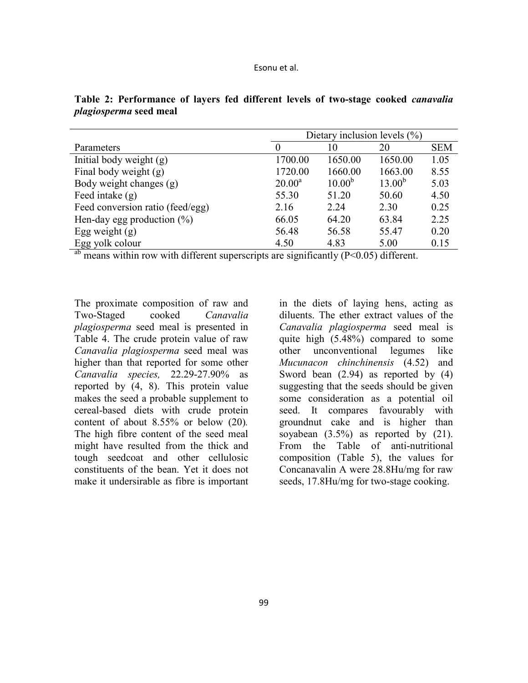|                                  | Dietary inclusion levels $(\% )$ |             |             |            |
|----------------------------------|----------------------------------|-------------|-------------|------------|
| Parameters                       | $\theta$                         | 10          | 20          | <b>SEM</b> |
| Initial body weight $(g)$        | 1700.00                          | 1650.00     | 1650.00     | 1.05       |
| Final body weight (g)            | 1720.00                          | 1660.00     | 1663.00     | 8.55       |
| Body weight changes (g)          | $20.00^a$                        | $10.00^{b}$ | $13.00^{b}$ | 5.03       |
| Feed intake $(g)$                | 55.30                            | 51.20       | 50.60       | 4.50       |
| Feed conversion ratio (feed/egg) | 2.16                             | 2.24        | 2.30        | 0.25       |
| Hen-day egg production $(\%)$    | 66.05                            | 64.20       | 63.84       | 2.25       |
| Egg weight $(g)$                 | 56.48                            | 56.58       | 55.47       | 0.20       |
| Egg yolk colour                  | 4.50                             | 4.83        | 5.00        | 0.15       |

**Table 2: Performance of layers fed different levels of two-stage cooked** *canavalia plagiosperma* **seed meal** 

<sup>ab</sup> means within row with different superscripts are significantly (P<0.05) different.

The proximate composition of raw and Two-Staged cooked *Canavalia plagiosperma* seed meal is presented in Table 4. The crude protein value of raw *Canavalia plagiosperma* seed meal was higher than that reported for some other *Canavalia species,* 22.29-27.90% as reported by (4, 8). This protein value makes the seed a probable supplement to cereal-based diets with crude protein content of about 8.55% or below (20)*.* The high fibre content of the seed meal might have resulted from the thick and tough seedcoat and other cellulosic constituents of the bean. Yet it does not make it undersirable as fibre is important

in the diets of laying hens, acting as diluents. The ether extract values of the *Canavalia plagiosperma* seed meal is quite high (5.48%) compared to some other unconventional legumes like *Mucunacon chinchinensis* (4.52) and Sword bean (2.94) as reported by (4) suggesting that the seeds should be given some consideration as a potential oil seed. It compares favourably with groundnut cake and is higher than soyabean  $(3.5\%)$  as reported by  $(21)$ . From the Table of anti-nutritional composition (Table 5), the values for Concanavalin A were 28.8Hu/mg for raw seeds, 17.8Hu/mg for two-stage cooking.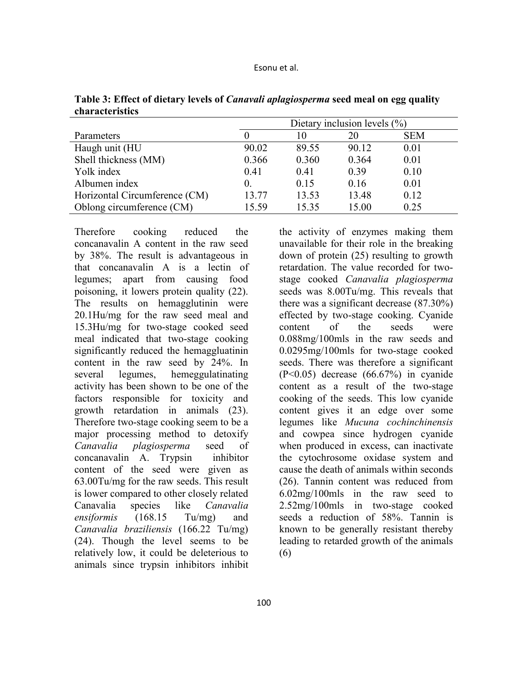| Esonu et al. |  |
|--------------|--|
|--------------|--|

|                               |            | Dietary inclusion levels $(\% )$ |       |            |  |
|-------------------------------|------------|----------------------------------|-------|------------|--|
| Parameters                    |            | 10                               | 20    | <b>SEM</b> |  |
| Haugh unit (HU                | 90.02      | 89.55                            | 90.12 | 0.01       |  |
| Shell thickness (MM)          | 0.366      | 0.360                            | 0.364 | 0.01       |  |
| Yolk index                    | 0.41       | 0.41                             | 0.39  | 0.10       |  |
| Albumen index                 | $\theta$ . | 0.15                             | 0.16  | 0.01       |  |
| Horizontal Circumference (CM) | 13.77      | 13.53                            | 13.48 | 0.12       |  |
| Oblong circumference (CM)     | 15.59      | 15.35                            | 15.00 | 0.25       |  |

**Table 3: Effect of dietary levels of** *Canavali aplagiosperma* **seed meal on egg quality characteristics**

Therefore cooking reduced the concanavalin A content in the raw seed by 38%. The result is advantageous in that concanavalin A is a lectin of legumes; apart from causing food poisoning, it lowers protein quality (22). The results on hemagglutinin were 20.1Hu/mg for the raw seed meal and 15.3Hu/mg for two-stage cooked seed meal indicated that two-stage cooking significantly reduced the hemaggluatinin content in the raw seed by 24%. In several legumes, hemeggulatinating activity has been shown to be one of the factors responsible for toxicity and growth retardation in animals (23). Therefore two-stage cooking seem to be a major processing method to detoxify *Canavalia plagiosperma* seed of concanavalin A. Trypsin inhibitor content of the seed were given as 63.00Tu/mg for the raw seeds. This result is lower compared to other closely related Canavalia species like *Canavalia ensiformis* (168.15 Tu/mg) and *Canavalia braziliensis* (166.22 Tu/mg) (24). Though the level seems to be relatively low, it could be deleterious to animals since trypsin inhibitors inhibit

the activity of enzymes making them unavailable for their role in the breaking down of protein (25) resulting to growth retardation. The value recorded for twostage cooked *Canavalia plagiosperma* seeds was 8.00Tu/mg. This reveals that there was a significant decrease (87.30%) effected by two-stage cooking. Cyanide content of the seeds were 0.088mg/100mls in the raw seeds and 0.0295mg/100mls for two-stage cooked seeds. There was therefore a significant (P<0.05) decrease (66.67%) in cyanide content as a result of the two-stage cooking of the seeds. This low cyanide content gives it an edge over some legumes like *Mucuna cochinchinensis*  and cowpea since hydrogen cyanide when produced in excess, can inactivate the cytochrosome oxidase system and cause the death of animals within seconds (26). Tannin content was reduced from 6.02mg/100mls in the raw seed to 2.52mg/100mls in two-stage cooked seeds a reduction of 58%. Tannin is known to be generally resistant thereby leading to retarded growth of the animals (6)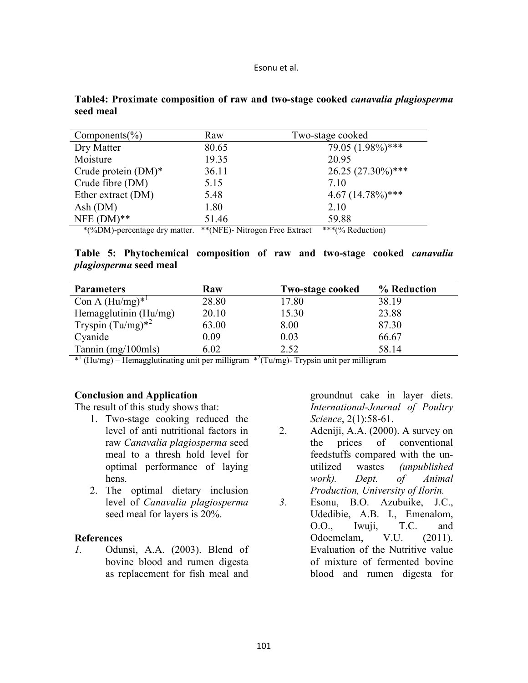| Esonu et al. |  |
|--------------|--|
|--------------|--|

| Raw   | Two-stage cooked     |  |
|-------|----------------------|--|
| 80.65 | 79.05 (1.98%)***     |  |
| 19.35 | 20.95                |  |
| 36.11 | $26.25(27.30\%)$ *** |  |
| 5.15  | 7 10                 |  |
| 5.48  | $4.67(14.78\%)$ ***  |  |
| 1.80  | 2.10                 |  |
| 51.46 | 59.88                |  |
|       |                      |  |

## **Table4: Proximate composition of raw and two-stage cooked** *canavalia plagiosperma* **seed meal**

\*(%DM)-percentage dry matter. \*\*(NFE)- Nitrogen Free Extract \*\*\*(% Reduction)

## **Table 5: Phytochemical composition of raw and two-stage cooked** *canavalia plagiosperma* **seed meal**

| <b>Parameters</b>      | Raw   | <b>Two-stage cooked</b> | % Reduction |
|------------------------|-------|-------------------------|-------------|
| Con A $(Hu/mg)^{*1}$   | 28.80 | 17.80                   | 38.19       |
| Hemagglutinin (Hu/mg)  | 20.10 | 15.30                   | 23.88       |
| Tryspin $(Tu/mg)^{*2}$ | 63.00 | 8.00                    | 87.30       |
| Cyanide                | 0.09  | 0.03                    | 66.67       |
| Tannin $(mg/100mls)$   | 6.02  | 2.52                    | 58.14       |

 $*^{1}$  (Hu/mg) – Hemagglutinating unit per milligram  $*^{2}$ (Tu/mg)- Trypsin unit per milligram

## **Conclusion and Application**

The result of this study shows that:

- 1. Two-stage cooking reduced the level of anti nutritional factors in raw *Canavalia plagiosperma* seed meal to a thresh hold level for optimal performance of laying hens.
- 2. The optimal dietary inclusion level of *Canavalia plagiosperma*  seed meal for layers is 20%.

## **References**

*1.* Odunsi, A.A. (2003). Blend of bovine blood and rumen digesta as replacement for fish meal and groundnut cake in layer diets. *International-Journal of Poultry Science*, 2(1):58-61.

- 2. Adeniji, A.A. (2000). A survey on the prices of conventional feedstuffs compared with the unutilized wastes *(unpublished work). Dept. of Animal Production, University of Ilorin.*
- *3.* Esonu, B.O. Azubuike, J.C., Udedibie, A.B. I., Emenalom, O.O., Iwuji, T.C. and Odoemelam, V.U. (2011). Evaluation of the Nutritive value of mixture of fermented bovine blood and rumen digesta for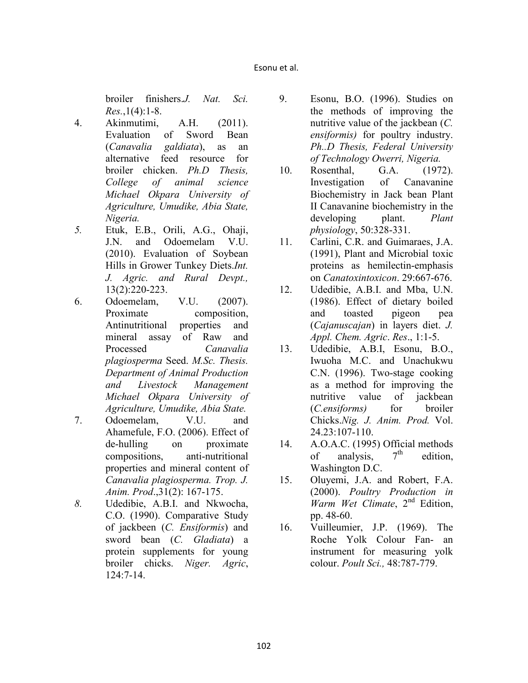broiler finishers.*J. Nat. Sci. Res.*,1(4):1-8.

- 4. Akinmutimi, A.H. (2011). Evaluation of Sword Bean (*Canavalia galdiata*), as an alternative feed resource for broiler chicken. *Ph.D Thesis, College of animal science Michael Okpara University of Agriculture, Umudike, Abia State, igeria.*
- *5.* Etuk, E.B., Orili, A.G., Ohaji, J.N. and Odoemelam V.U. (2010). Evaluation of Soybean Hills in Grower Tunkey Diets.*Int. J. Agric. and Rural Devpt.,* 13(2):220-223.
- 6. Odoemelam, V.U. (2007). Proximate composition, Antinutritional properties and mineral assay of Raw and Processed *Canavalia plagiosperma* Seed. *M.Sc. Thesis. Department of Animal Production and Livestock Management Michael Okpara University of Agriculture, Umudike, Abia State.*
- 7. Odoemelam, V.U. and Ahamefule, F.O. (2006). Effect of de-hulling on proximate compositions, anti-nutritional properties and mineral content of *Canavalia plagiosperma. Trop. J. Anim. Prod*.,31(2): 167-175.
- *8.* Udedibie, A.B.I. and Nkwocha, C.O. (1990). Comparative Study of jackbeen (*C. Ensiformis*) and sword bean (*C. Gladiata*) a protein supplements for young broiler chicks. *Niger. Agric*, 124:7-14.
- 9. Esonu, B.O. (1996). Studies on the methods of improving the nutritive value of the jackbean (*C. ensiformis)* for poultry industry. *Ph..D Thesis, Federal University*   $of Technology$  *Owerri, Nigeria.*
- 10. Rosenthal, G.A. (1972). Investigation of Canavanine Biochemistry in Jack bean Plant II Canavanine biochemistry in the developing plant. *Plant physiology*, 50:328-331.
- 11. Carlini, C.R. and Guimaraes, J.A. (1991), Plant and Microbial toxic proteins as hemilectin-emphasis on *Canatoxintoxicon*. 29:667-676.
- 12. Udedibie, A.B.I. and Mba, U.N. (1986). Effect of dietary boiled and toasted pigeon pea (*Cajanuscajan*) in layers diet. *J. Appl. Chem. Agric*. *Res*., 1:1-5.
- 13. Udedibie, A.B.I, Esonu, B.O., Iwuoha M.C. and Unachukwu C.N. (1996). Two-stage cooking as a method for improving the nutritive value of jackbean (*C.ensiforms)* for broiler Chicks.*Nig. J. Anim. Prod.* Vol. 24.23:107-110.
- 14. A.O.A.C. (1995) Official methods<br>of analysis  $7<sup>th</sup>$  edition of analysis,  $7<sup>th</sup>$  edition, Washington D.C.
- 15. Oluyemi, J.A. and Robert, F.A. (2000). *Poultry Production in Warm Wet Climate*, 2<sup>nd</sup> Edition, pp. 48-60.
- 16. Vuilleumier, J.P. (1969). The Roche Yolk Colour Fan- an instrument for measuring yolk colour. *Poult Sci.,* 48:787-779.